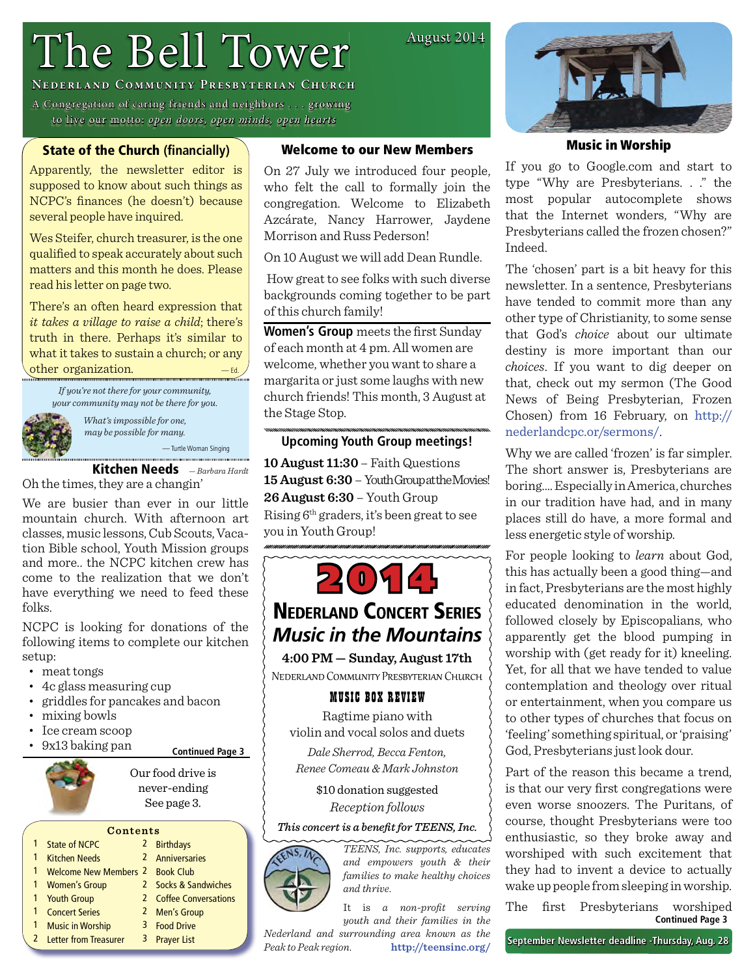# The Bell Tower

# **NEDERLAND COMMUNITY PRESBYTERIAN CHURCH**

A C ongregation of caring friends and neighbors . . . growing to live our motto: *open doors, open minds, open hearts*

# **State of the Church (financially)**

Apparently, the newsletter editor is supposed to know about such things as NCPC's finances (he doesn't) because several people have inquired.

Wes Steifer, church treasurer, is the one qualified to speak accurately about such matters and this month he does. Please read his letter on page two.

There's an often heard expression that *it takes a village to raise a child*; there's truth in there. Perhaps it's similar to what it takes to sustain a church; or any other organization.  $-\text{Ed.}$ 

> *If you're not there for your community, your community may not be there for you.*



*What's impossible for one, may be possible for many.* — Turtle Woman Singing

Kitchen Needs *— Barbara Hardt*

Oh the times, they are a changin'

We are busier than ever in our little mountain church. With afternoon art classes, music lessons, Cub Scouts, Vacation Bible school, Youth Mission groups and more.. the NCPC kitchen crew has come to the realization that we don't have everything we need to feed these folks.

NCPC is looking for donations of the following items to complete our kitchen setup:

- meat tongs
- 4c glass measuring cup
- griddles for pancakes and bacon
- mixing bowls
- Ice cream scoop

### • 9x13 baking pan



**Continued Page 3** Our food drive is never-ending See page 3.

### **C ont ent s**

1 State of NCPC 2 Birthdays 1 Kitchen Needs 2 Anniversaries 1 Welcome New Members 2 Book Club 1 Women's Group 2 Socks & Sandwiches 1 Youth Group 2 Coffee Conversations 1 Concert Series 2 Men's Group 1 Music in Worship 3 Food Drive 2 Letter from Treasurer 3 Prayer List

# Welcome to our New Members

August 2014

On 27 July we introduced four people, who felt the call to formally join the congregation. Welcome to Elizabeth Azcárate, Nancy Harrower, Jaydene Morrison and Russ Pederson!

On 10 August we will add Dean Rundle.

How great to see folks with such diverse backgrounds coming together to be part of this church family!

**Women's Group** meets the first Sunday of each month at 4 pm. All women are welcome, whether you want to share a margarita or just some laughs with new church friends! This month, 3 August at the Stage Stop.

## **Upcoming Youth Group meetings!**

**10 August 11:30** – Faith Questions **15 August 6:30** – YouthGroupattheMovies! **26 August 6:30** – Youth Group Rising 6th graders, it's been great to see you in Youth Group!



# *Music in the Mountains*

# **4:00 PM — Sunday, August 17th**

NEDERLAND COMMUNITY PRESBYTERIAN CHURCH

# MUSIC BOX REVIEW

Ragtime piano with violin and vocal solos and duets

*Dale Sherrod, Becca Fenton, Renee Comeau & Mark Johnston*

> \$10 donation suggested *Reception follows*

## $This$  *concert is a benefit for TEENS, Inc.*



*TEENS, Inc. supports, educates and empowers youth & their families to make healthy choices and thrive.*

It is a non-profit serving *youth and their families in the Nederland and surrounding area known as the Peak to Peak region.* **http://teensinc.org/**



Music in Worship

If you go to Google.com and start to type "Why are Presbyterians. . ." the most popular autocomplete shows that the Internet wonders, "Why are Presbyterians called the frozen chosen?" Indeed.

The 'chosen' part is a bit heavy for this newsletter. In a sentence, Presbyterians have tended to commit more than any other type of Christianity, to some sense that God's *choice* about our ultimate destiny is more important than our *choices*. If you want to dig deeper on that, check out my sermon (The Good News of Being Presbyterian, Frozen Chosen) from 16 February, on http:// nederlandcpc.or/sermons/.

Why we are called 'frozen' is far simpler. The short answer is, Presbyterians are boring.... Especially in America, churches in our tradition have had, and in many places still do have, a more formal and less energetic style of worship.

For people looking to *learn* about God, this has actually been a good thing—and in fact, Presbyterians are the most highly educated denomination in the world, followed closely by Episcopalians, who apparently get the blood pumping in worship with (get ready for it) kneeling. Yet, for all that we have tended to value contemplation and theology over ritual or entertainment, when you compare us to other types of churches that focus on 'feeling' something spiritual, or 'praising' God, Presbyterians just look dour.

Part of the reason this became a trend, is that our very first congregations were even worse snoozers. The Puritans, of course, thought Presbyterians were too enthusiastic, so they broke away and worshiped with such excitement that they had to invent a device to actually wake up people from sleeping in worship.

**Continued Page 3** The first Presbyterians worshiped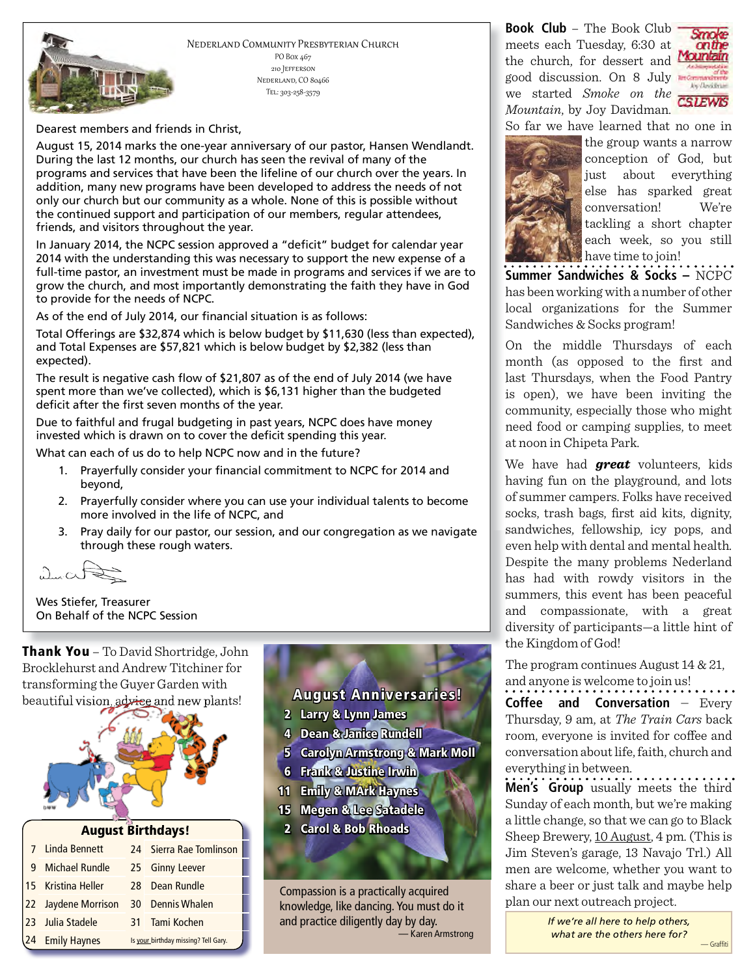

NEDERLAND COMMUNITY PRESBYTERIAN CHURCH PO Box  $467$ 210 JEFFERSON NEDERLAND, CO 80466 TEL: 303-258-3579

Dearest members and friends in Christ,

August 15, 2014 marks the one-year anniversary of our pastor, Hansen Wendlandt. During the last 12 months, our church has seen the revival of many of the programs and services that have been the lifeline of our church over the years. In addition, many new programs have been developed to address the needs of not only our church but our community as a whole. None of this is possible without the continued support and participation of our members, regular attendees, friends, and visitors throughout the year.

In January 2014, the NCPC session approved a "deficit" budget for calendar year 2014 with the understanding this was necessary to support the new expense of a full-time pastor, an investment must be made in programs and services if we are to grow the church, and most importantly demonstrating the faith they have in God to provide for the needs of NCPC.

As of the end of July 2014, our financial situation is as follows:

Total Offerings are \$32,874 which is below budget by \$11,630 (less than expected), and Total Expenses are \$57,821 which is below budget by \$2,382 (less than expected).

The result is negative cash flow of \$21,807 as of the end of July 2014 (we have spent more than we've collected), which is \$6,131 higher than the budgeted deficit after the first seven months of the year.

Due to faithful and frugal budgeting in past years, NCPC does have money invested which is drawn on to cover the deficit spending this vear.

What can each of us do to help NCPC now and in the future?

- 1. Prayerfully consider your financial commitment to NCPC for 2014 and beyond,
- 2. Prayerfully consider where you can use your individual talents to become more involved in the life of NCPC, and
- 3. Pray daily for our pastor, our session, and our congregation as we navigate through these rough waters.

 $\sim$ 

Wes Stiefer, Treasurer On Behalf of the NCPC Session

**Thank You** – To David Shortridge, John Brocklehurst and Andrew Titchiner for transforming the Guyer Garden with beautiful vision, advice and new plants!



### August Birthdays!

|   | 7 Linda Bennett       |                                      | 24 Sierra Rae Tomlinson |
|---|-----------------------|--------------------------------------|-------------------------|
| 9 | <b>Michael Rundle</b> |                                      | 25 Ginny Leever         |
|   | 15 Kristina Heller    | 28.                                  | Dean Rundle             |
|   | 22 Jaydene Morrison   | 30                                   | Dennis Whalen           |
|   | 23 Julia Stadele      | 31.                                  | Tami Kochen             |
|   | 24 Emily Haynes       | Is your birthday missing? Tell Gary. |                         |

# August Anniversaries! 2 Larry & Lynn James 4 Dean & Janice Rundell 5 Carolyn Armstrong & Mark Moll 6 Frank & Justine Irwin 11 Emily & MArk Haynes 15 Megen & Lee Satadele 2 Carol & Bob Rhoads

Compassion is a practically acquired knowledge, like dancing. You must do it and practice diligently day by day. — Karen Armstrong

**Book Club** – The Book Club meets each Tuesday, 6:30 at the church, for dessert and good discussion. On 8 July we started *Smoke on the* **CSLEWIS** *Mountain*, by Joy Davidman.



So far we have learned that no one in



the group wants a narrow conception of God, but just about everything else has sparked great conversation! We're tackling a short chapter each week, so you still have time to join!

**Summer Sandwiches & Socks –** NCPC has been working with a number of other local organizations for the Summer Sandwiches & Socks program!

On the middle Thursdays of each month (as opposed to the first and last Thursdays, when the Food Pantry is open), we have been inviting the community, especially those who might need food or camping supplies, to meet at noon in Chipeta Park.

We have had *great* volunteers, kids having fun on the playground, and lots of summer campers. Folks have received socks, trash bags, first aid kits, dignity, sandwiches, fellowship, icy pops, and even help with dental and mental health. Despite the many problems Nederland has had with rowdy visitors in the summers, this event has been peaceful and compassionate, with a great diversity of participants—a little hint of the Kingdom of God!

The program continues August 14 & 21, and anyone is welcome to join us!

**Coffee and Conversation** ― Every Thursday, 9 am, at *The Train Cars* back room, everyone is invited for coffee and conversation about life, faith, church and everything in between.

**Men's Group** usually meets the third Sunday of each month, but we're making a little change, so that we can go to Black Sheep Brewery, 10 August, 4 pm. (This is Jim Steven's garage, 13 Navajo Trl.) All men are welcome, whether you want to share a beer or just talk and maybe help plan our next outreach project.

> *If we're all here to help others, what are the others here for?*

— Graffiti